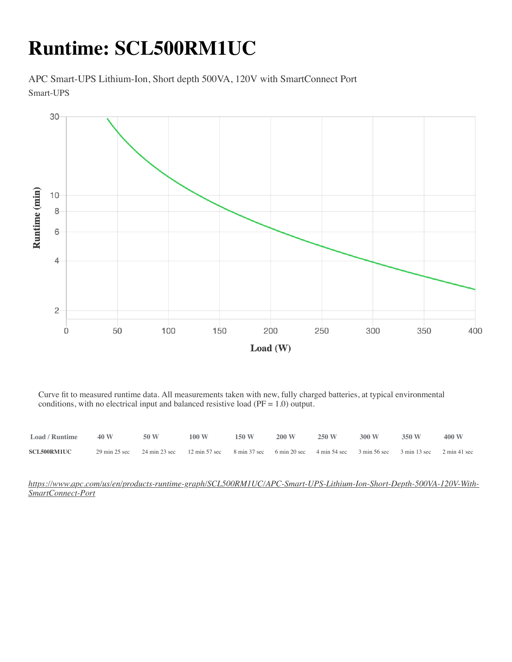### **Runtime: SCL500RM1UC**

APC Smart-UPS Lithium-Ion, Short depth 500VA, 120V with SmartConnect Port Smart-UPS



Curve fit to measured runtime data. All measurements taken with new, fully charged batteries, at typical environmental conditions, with no electrical input and balanced resistive load (PF = 1.0) output.

| <b>Load / Runtime</b> | 40 W | 50 W                                                                                                                    | 100 W | 150W | $200 \text{ W}$ | 250 W | 300 W | 350 W | 400 W |
|-----------------------|------|-------------------------------------------------------------------------------------------------------------------------|-------|------|-----------------|-------|-------|-------|-------|
| <b>SCL500RM1UC</b>    |      | 29 min 25 sec 24 min 23 sec 12 min 57 sec 8 min 37 sec 6 min 20 sec 4 min 54 sec 3 min 56 sec 3 min 13 sec 2 min 41 sec |       |      |                 |       |       |       |       |

*[https://www.apc.com/us/en/products-runtime-graph/SCL500RM1UC/APC-Smart-UPS-Lithium-Ion-Short-Depth-500VA-120V-With-](https://www.apc.com/us/en/products-runtime-graph/SCL500RM1UC/APC-Smart-UPS-Lithium-Ion-Short-Depth-500VA-120V-With-SmartConnect-Port)SmartConnect-Port*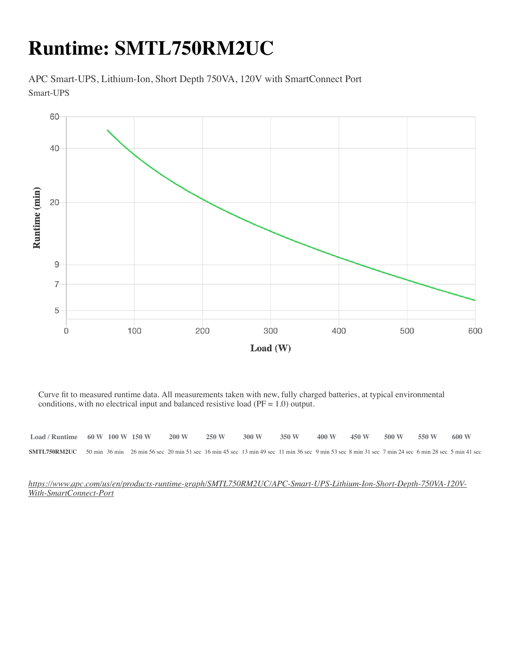### **Runtime: SMTL750RM2UC**

APC Smart-UPS, Lithium-Ion, Short Depth 750VA, 120V with SmartConnect Port Smart-UPS



Curve fit to measured runtime data. All measurements taken with new, fully charged batteries, at typical environmental conditions, with no electrical input and balanced resistive load (PF = 1.0) output.

| $Load /$ Runtime $60 W 100 W 150 W$                                                                                                                                      |  | 200 W | 250 W | 300 W | 350 W | 400 W | 450 W | $500 \text{ W}$ 550 W | 600 W |
|--------------------------------------------------------------------------------------------------------------------------------------------------------------------------|--|-------|-------|-------|-------|-------|-------|-----------------------|-------|
| <b>SMTL750RM2UC</b> 50 min 36 min 26 min 56 sec 20 min 51 sec 16 min 45 sec 13 min 49 sec 11 min 36 sec 9 min 53 sec 8 min 31 sec 7 min 24 sec 6 min 28 sec 5 min 41 sec |  |       |       |       |       |       |       |                       |       |

*[https://www.apc.com/us/en/products-runtime-graph/SMTL750RM2UC/APC-Smart-UPS-Lithium-Ion-Short-Depth-750VA-120V-](https://www.apc.com/us/en/products-runtime-graph/SMTL750RM2UC/APC-Smart-UPS-Lithium-Ion-Short-Depth-750VA-120V-With-SmartConnect-Port)With-SmartConnect-Port*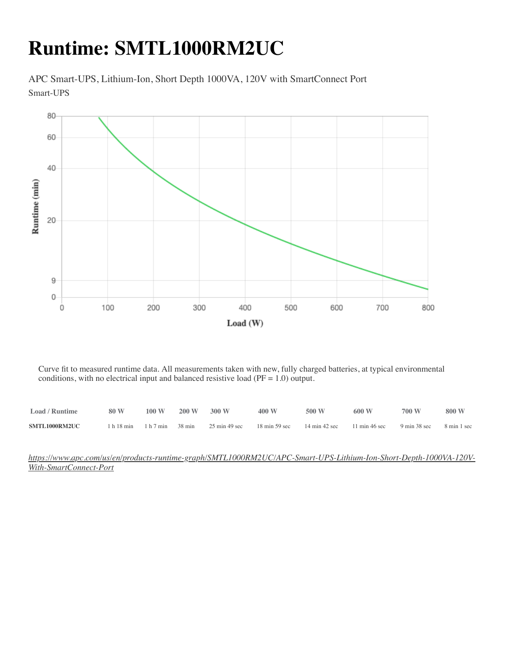# **Runtime: SMTL1000RM2UC**

APC Smart-UPS, Lithium-Ion, Short Depth 1000VA, 120V with SmartConnect Port Smart-UPS



Curve fit to measured runtime data. All measurements taken with new, fully charged batteries, at typical environmental conditions, with no electrical input and balanced resistive load ( $PF = 1.0$ ) output.

| Load / Runtime | 80 W                 | 100 W | 200 W  | 300 W                            | 400 W                           | 500 W                            | 600 W                            | 700 W        | 800 W       |
|----------------|----------------------|-------|--------|----------------------------------|---------------------------------|----------------------------------|----------------------------------|--------------|-------------|
| SMTL1000RM2UC  | 1 h 18 min 1 h 7 min |       | 38 min | $25 \text{ min } 49 \text{ sec}$ | $18 \text{ min} 59 \text{ sec}$ | $14 \text{ min } 42 \text{ sec}$ | $11 \text{ min } 46 \text{ sec}$ | 9 min 38 sec | 8 min 1 sec |

#### *[https://www.apc.com/us/en/products-runtime-graph/SMTL1000RM2UC/APC-Smart-UPS-Lithium-Ion-Short-Depth-1000VA-120V-](https://www.apc.com/us/en/products-runtime-graph/SMTL1000RM2UC/APC-Smart-UPS-Lithium-Ion-Short-Depth-1000VA-120V-With-SmartConnect-Port)With-SmartConnect-Port*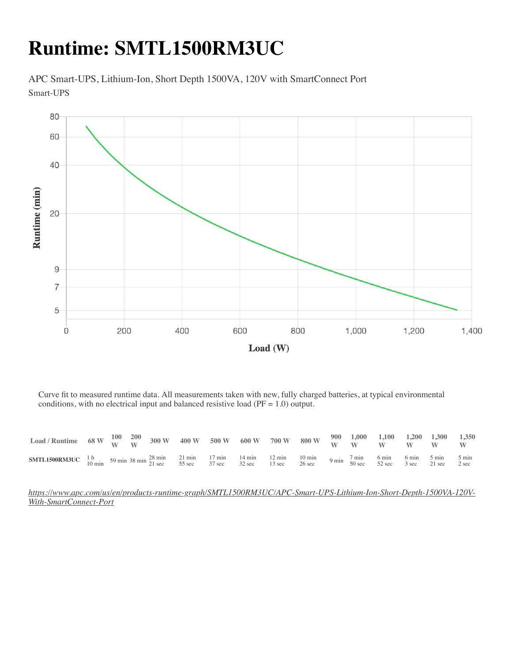# **Runtime: SMTL1500RM3UC**

APC Smart-UPS, Lithium-Ion, Short Depth 1500VA, 120V with SmartConnect Port Smart-UPS



Curve fit to measured runtime data. All measurements taken with new, fully charged batteries, at typical environmental conditions, with no electrical input and balanced resistive load (PF = 1.0) output.

| $\text{Load / Runtime} \quad 68 \text{ W} \quad \frac{100}{\text{W}} \quad \frac{200}{\text{W}} \quad 300 \text{ W} \quad 400 \text{ W} \quad 500 \text{ W} \quad 600 \text{ W} \quad 700 \text{ W} \quad 800 \text{ W} \quad \frac{900}{\text{W}} \quad \frac{1,000}{\text{W}} \quad \frac{1,100}{\text{W}} \quad \frac{1,200}{\text{W}} \quad \frac{1,300}{\text{W}} \quad \frac{1,350}{\text{W}} \quad \frac{1,350}{\text{W$ |  |  |  |  |  |  |  |  |
|---------------------------------------------------------------------------------------------------------------------------------------------------------------------------------------------------------------------------------------------------------------------------------------------------------------------------------------------------------------------------------------------------------------------------------|--|--|--|--|--|--|--|--|
| <b>SMTL1500RM3UC</b> 1 h<br>10 min 59 min 38 min 28 min 21 min 17 min 14 min 12 min 10 min 9 min 7 min 6 min 6 min 5 min 5 min 5 min<br>10 min 50 min 59 min 38 min 21 sec 52 sec 37 sec 32 sec 32 sec 13 sec 26 sec 52 sec 3 sec 21 se                                                                                                                                                                                         |  |  |  |  |  |  |  |  |

*[https://www.apc.com/us/en/products-runtime-graph/SMTL1500RM3UC/APC-Smart-UPS-Lithium-Ion-Short-Depth-1500VA-120V-](https://www.apc.com/us/en/products-runtime-graph/SMTL1500RM3UC/APC-Smart-UPS-Lithium-Ion-Short-Depth-1500VA-120V-With-SmartConnect-Port)With-SmartConnect-Port*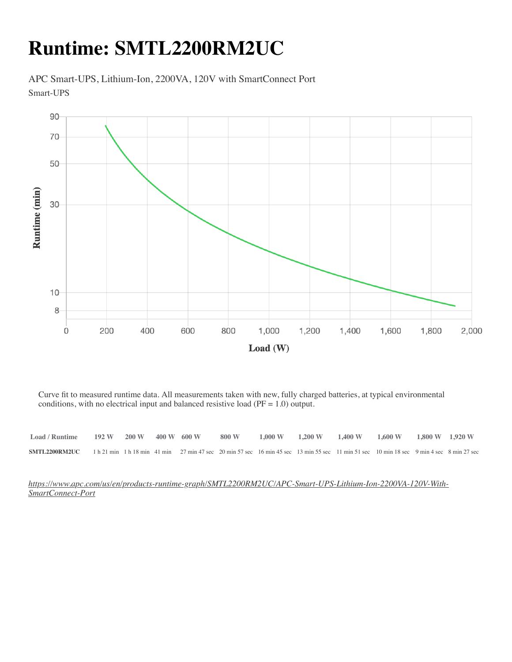### **Runtime: SMTL2200RM2UC**

APC Smart-UPS, Lithium-Ion, 2200VA, 120V with SmartConnect Port Smart-UPS



Curve fit to measured runtime data. All measurements taken with new, fully charged batteries, at typical environmental conditions, with no electrical input and balanced resistive load (PF = 1.0) output.

| $\text{Load}/\text{Runtime}$ 192 W 200 W 400 W 600 W                                                                                                           |  |  |  | $1,800 \text{ W}$ $1,000 \text{ W}$ $1,200 \text{ W}$ $1,400 \text{ W}$ $1,600 \text{ W}$ $1,800 \text{ W}$ $1,920 \text{ W}$ |  |  |
|----------------------------------------------------------------------------------------------------------------------------------------------------------------|--|--|--|-------------------------------------------------------------------------------------------------------------------------------|--|--|
| <b>SMTL2200RM2UC</b> 1 h 21 min 1 h 18 min 41 min 27 min 47 sec 20 min 57 sec 16 min 45 sec 13 min 55 sec 11 min 51 sec 10 min 18 sec 9 min 4 sec 8 min 27 sec |  |  |  |                                                                                                                               |  |  |

*[https://www.apc.com/us/en/products-runtime-graph/SMTL2200RM2UC/APC-Smart-UPS-Lithium-Ion-2200VA-120V-With-](https://www.apc.com/us/en/products-runtime-graph/SMTL2200RM2UC/APC-Smart-UPS-Lithium-Ion-2200VA-120V-With-SmartConnect-Port)SmartConnect-Port*